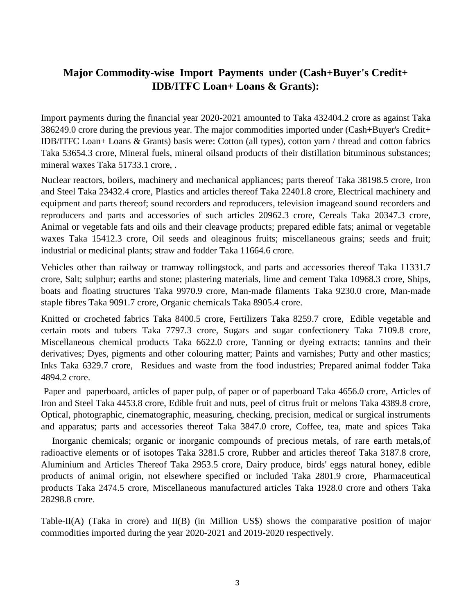## **Major Commodity-wise Import Payments under (Cash+Buyer's Credit+ IDB/ITFC Loan+ Loans & Grants):**

Import payments during the financial year 2020-2021 amounted to Taka 432404.2 crore as against Taka 386249.0 crore during the previous year. The major commodities imported under (Cash+Buyer's Credit+ IDB/ITFC Loan+ Loans & Grants) basis were: Cotton (all types), cotton yarn / thread and cotton fabrics Taka 53654.3 crore, Mineral fuels, mineral oilsand products of their distillation bituminous substances; mineral waxes Taka 51733.1 crore, .

Nuclear reactors, boilers, machinery and mechanical appliances; parts thereof Taka 38198.5 crore, Iron and Steel Taka 23432.4 crore, Plastics and articles thereof Taka 22401.8 crore, Electrical machinery and equipment and parts thereof; sound recorders and reproducers, television imageand sound recorders and reproducers and parts and accessories of such articles 20962.3 crore, Cereals Taka 20347.3 crore, Animal or vegetable fats and oils and their cleavage products; prepared edible fats; animal or vegetable waxes Taka 15412.3 crore, Oil seeds and oleaginous fruits; miscellaneous grains; seeds and fruit; industrial or medicinal plants; straw and fodder Taka 11664.6 crore.

Vehicles other than railway or tramway rollingstock, and parts and accessories thereof Taka 11331.7 crore, Salt; sulphur; earths and stone; plastering materials, lime and cement Taka 10968.3 crore, Ships, boats and floating structures Taka 9970.9 crore, Man-made filaments Taka 9230.0 crore, Man-made staple fibres Taka 9091.7 crore, Organic chemicals Taka 8905.4 crore.

Knitted or crocheted fabrics Taka 8400.5 crore, Fertilizers Taka 8259.7 crore, Edible vegetable and certain roots and tubers Taka 7797.3 crore, Sugars and sugar confectionery Taka 7109.8 crore, Miscellaneous chemical products Taka 6622.0 crore, Tanning or dyeing extracts; tannins and their derivatives; Dyes, pigments and other colouring matter; Paints and varnishes; Putty and other mastics; Inks Taka 6329.7 crore, Residues and waste from the food industries; Prepared animal fodder Taka 4894.2 crore.

Paper and paperboard, articles of paper pulp, of paper or of paperboard Taka 4656.0 crore, Articles of Iron and Steel Taka 4453.8 crore, Edible fruit and nuts, peel of citrus fruit or melons Taka 4389.8 crore, Optical, photographic, cinematographic, measuring, checking, precision, medical or surgical instruments and apparatus; parts and accessories thereof Taka 3847.0 crore, Coffee, tea, mate and spices Taka

Inorganic chemicals; organic or inorganic compounds of precious metals, of rare earth metals, of radioactive elements or of isotopes Taka 3281.5 crore, Rubber and articles thereof Taka 3187.8 crore, Aluminium and Articles Thereof Taka 2953.5 crore, Dairy produce, birds' eggs natural honey, edible products of animal origin, not elsewhere specified or included Taka 2801.9 crore, Pharmaceutical products Taka 2474.5 crore, Miscellaneous manufactured articles Taka 1928.0 crore and others Taka 28298.8 crore.

Table-II(A) (Taka in crore) and II(B) (in Million US\$) shows the comparative position of major commodities imported during the year 2020-2021 and 2019-2020 respectively.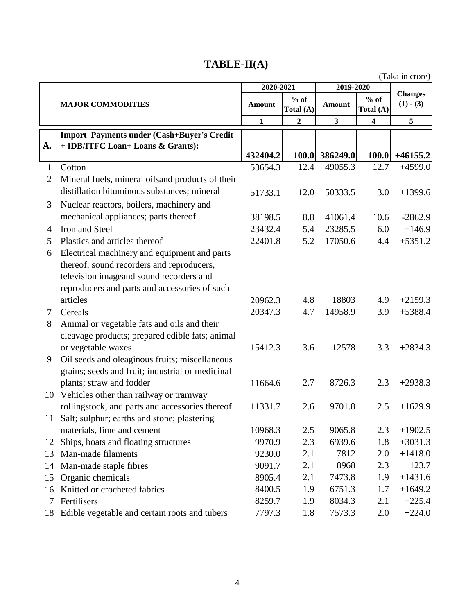# **TABLE-II(A)**

|              |                                                   |              |                     |                |                         | (Taka in crore)               |
|--------------|---------------------------------------------------|--------------|---------------------|----------------|-------------------------|-------------------------------|
|              |                                                   | 2020-2021    |                     | 2019-2020      |                         |                               |
|              | <b>MAJOR COMMODITIES</b>                          | Amount       | $%$ of<br>Total (A) | Amount         | $%$ of<br>Total (A)     | <b>Changes</b><br>$(1) - (3)$ |
|              |                                                   | $\mathbf{1}$ | $\overline{2}$      | $\mathbf{3}$   | $\overline{\mathbf{4}}$ | 5                             |
|              | <b>Import Payments under (Cash+Buyer's Credit</b> |              |                     |                |                         |                               |
| A.           | + IDB/ITFC Loan+ Loans & Grants):                 |              |                     |                |                         |                               |
|              |                                                   | 432404.2     |                     | 100.0 386249.0 | 100.0                   | $+46155.2$                    |
| $\mathbf{1}$ | Cotton                                            | 53654.3      | 12.4                | 49055.3        | 12.7                    | $+4599.0$                     |
| 2            | Mineral fuels, mineral oilsand products of their  |              |                     |                |                         |                               |
|              | distillation bituminous substances; mineral       | 51733.1      | 12.0                | 50333.5        | 13.0                    | $+1399.6$                     |
| 3            | Nuclear reactors, boilers, machinery and          |              |                     |                |                         |                               |
|              | mechanical appliances; parts thereof              | 38198.5      | 8.8                 | 41061.4        | 10.6                    | $-2862.9$                     |
| 4            | Iron and Steel                                    | 23432.4      | 5.4                 | 23285.5        | 6.0                     | $+146.9$                      |
| 5            | Plastics and articles thereof                     | 22401.8      | 5.2                 | 17050.6        | 4.4                     | $+5351.2$                     |
| 6            | Electrical machinery and equipment and parts      |              |                     |                |                         |                               |
|              | thereof; sound recorders and reproducers,         |              |                     |                |                         |                               |
|              | television imageand sound recorders and           |              |                     |                |                         |                               |
|              | reproducers and parts and accessories of such     |              |                     |                |                         |                               |
|              | articles                                          | 20962.3      | 4.8                 | 18803          | 4.9                     | $+2159.3$                     |
| 7            | Cereals                                           | 20347.3      | 4.7                 | 14958.9        | 3.9                     | $+5388.4$                     |
| 8            | Animal or vegetable fats and oils and their       |              |                     |                |                         |                               |
|              | cleavage products; prepared edible fats; animal   |              |                     |                |                         |                               |
|              | or vegetable waxes                                | 15412.3      | 3.6                 | 12578          | 3.3                     | $+2834.3$                     |
| 9            | Oil seeds and oleaginous fruits; miscellaneous    |              |                     |                |                         |                               |
|              | grains; seeds and fruit; industrial or medicinal  |              |                     |                |                         |                               |
|              | plants; straw and fodder                          | 11664.6      | 2.7                 | 8726.3         | 2.3                     | $+2938.3$                     |
| 10           | Vehicles other than railway or tramway            |              |                     |                |                         |                               |
|              | rollingstock, and parts and accessories thereof   | 11331.7      | 2.6                 | 9701.8         | 2.5                     | $+1629.9$                     |
|              | 11 Salt; sulphur; earths and stone; plastering    |              |                     |                |                         |                               |
|              | materials, lime and cement                        | 10968.3      | 2.5                 | 9065.8         | 2.3                     | $+1902.5$                     |
| 12           | Ships, boats and floating structures              | 9970.9       | 2.3                 | 6939.6         | 1.8                     | $+3031.3$                     |
| 13           | Man-made filaments                                | 9230.0       | 2.1                 | 7812           | 2.0                     | $+1418.0$                     |
| 14           | Man-made staple fibres                            | 9091.7       | 2.1                 | 8968           | 2.3                     | $+123.7$                      |
| 15           | Organic chemicals                                 | 8905.4       | 2.1                 | 7473.8         | 1.9                     | $+1431.6$                     |
| 16           | Knitted or crocheted fabrics                      | 8400.5       | 1.9                 | 6751.3         | 1.7                     | $+1649.2$                     |
| 17           | Fertilisers                                       | 8259.7       | 1.9                 | 8034.3         | 2.1                     | $+225.4$                      |
| 18           | Edible vegetable and certain roots and tubers     | 7797.3       | 1.8                 | 7573.3         | 2.0                     | $+224.0$                      |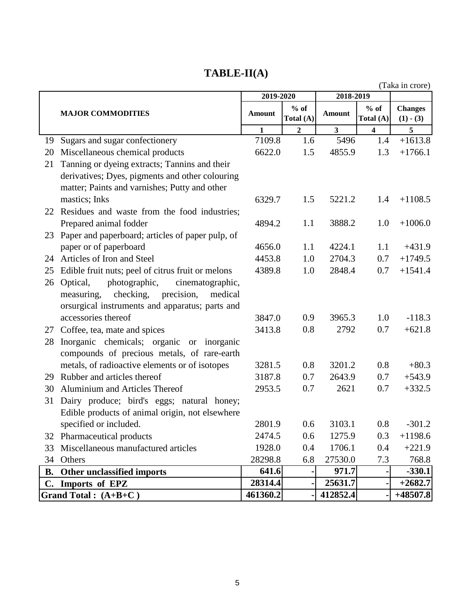# **TABLE-II(A)**

|           |                                                   |               |                     |               |                         | (Taka in crore)               |
|-----------|---------------------------------------------------|---------------|---------------------|---------------|-------------------------|-------------------------------|
|           |                                                   | 2019-2020     |                     | 2018-2019     |                         |                               |
|           | <b>MAJOR COMMODITIES</b>                          | <b>Amount</b> | $%$ of<br>Total (A) | <b>Amount</b> | $%$ of<br>Total (A)     | <b>Changes</b><br>$(1) - (3)$ |
|           |                                                   | 1             | $\overline{2}$      | 3             | $\overline{\mathbf{4}}$ | 5                             |
| 19        | Sugars and sugar confectionery                    | 7109.8        | 1.6                 | 5496          | 1.4                     | $+1613.8$                     |
| 20        | Miscellaneous chemical products                   | 6622.0        | 1.5                 | 4855.9        | 1.3                     | $+1766.1$                     |
| 21        | Tanning or dyeing extracts; Tannins and their     |               |                     |               |                         |                               |
|           | derivatives; Dyes, pigments and other colouring   |               |                     |               |                         |                               |
|           | matter; Paints and varnishes; Putty and other     |               |                     |               |                         |                               |
|           | mastics; Inks                                     | 6329.7        | 1.5                 | 5221.2        | 1.4                     | $+1108.5$                     |
|           | 22 Residues and waste from the food industries;   |               |                     |               |                         |                               |
|           | Prepared animal fodder                            | 4894.2        | 1.1                 | 3888.2        | 1.0                     | $+1006.0$                     |
| 23        | Paper and paperboard; articles of paper pulp, of  |               |                     |               |                         |                               |
|           | paper or of paperboard                            | 4656.0        | 1.1                 | 4224.1        | 1.1                     | $+431.9$                      |
| 24        | Articles of Iron and Steel                        | 4453.8        | 1.0                 | 2704.3        | 0.7                     | $+1749.5$                     |
| 25        | Edible fruit nuts; peel of citrus fruit or melons | 4389.8        | 1.0                 | 2848.4        | 0.7                     | $+1541.4$                     |
| 26        | Optical,<br>photographic,<br>cinematographic,     |               |                     |               |                         |                               |
|           | precision,<br>checking,<br>measuring,<br>medical  |               |                     |               |                         |                               |
|           | orsurgical instruments and apparatus; parts and   |               |                     |               |                         |                               |
|           | accessories thereof                               | 3847.0        | 0.9                 | 3965.3        | 1.0                     | $-118.3$                      |
| 27        | Coffee, tea, mate and spices                      | 3413.8        | 0.8                 | 2792          | 0.7                     | $+621.8$                      |
| 28        | Inorganic chemicals; organic or inorganic         |               |                     |               |                         |                               |
|           | compounds of precious metals, of rare-earth       |               |                     |               |                         |                               |
|           | metals, of radioactive elements or of isotopes    | 3281.5        | 0.8                 | 3201.2        | 0.8                     | $+80.3$                       |
| 29        | Rubber and articles thereof                       | 3187.8        | 0.7                 | 2643.9        | 0.7                     | $+543.9$                      |
| 30        | Aluminium and Articles Thereof                    | 2953.5        | 0.7                 | 2621          | 0.7                     | $+332.5$                      |
| 31        | Dairy produce; bird's eggs; natural honey;        |               |                     |               |                         |                               |
|           | Edible products of animal origin, not elsewhere   |               |                     |               |                         |                               |
|           | specified or included.                            | 2801.9        | 0.6                 | 3103.1        | 0.8                     | $-301.2$                      |
|           | 32 Pharmaceutical products                        | 2474.5        | 0.6                 | 1275.9        | 0.3                     | $+1198.6$                     |
| 33        | Miscellaneous manufactured articles               | 1928.0        | 0.4                 | 1706.1        | 0.4                     | $+221.9$                      |
| 34        | Others                                            | 28298.8       | 6.8                 | 27530.0       | 7.3                     | 768.8                         |
| <b>B.</b> | Other unclassified imports                        | 641.6         |                     | 971.7         |                         | $-330.1$                      |
|           | C. Imports of EPZ                                 | 28314.4       |                     | 25631.7       |                         | $+2682.7$                     |
|           | Grand Total : $(A+B+C)$                           | 461360.2      |                     | 412852.4      |                         | $+48507.8$                    |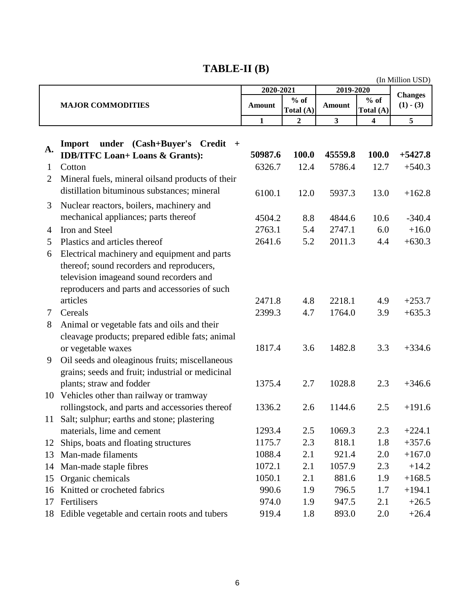# **TABLE-II (B)**

|                |                                                                                                                                                                                       |              |                     | (In Million USD)        |                     |             |  |
|----------------|---------------------------------------------------------------------------------------------------------------------------------------------------------------------------------------|--------------|---------------------|-------------------------|---------------------|-------------|--|
|                |                                                                                                                                                                                       | 2020-2021    |                     | 2019-2020               | <b>Changes</b>      |             |  |
|                | <b>MAJOR COMMODITIES</b>                                                                                                                                                              | Amount       | $%$ of<br>Total (A) | <b>Amount</b>           | $%$ of<br>Total (A) | $(1) - (3)$ |  |
|                |                                                                                                                                                                                       | $\mathbf{1}$ | $\overline{2}$      | $\overline{\mathbf{3}}$ | 4                   | 5           |  |
| A.             | under (Cash+Buyer's Credit<br>Import<br>$+$<br><b>IDB/ITFC Loan+ Loans &amp; Grants):</b>                                                                                             | 50987.6      | 100.0               | 45559.8                 | 100.0               | $+5427.8$   |  |
| 1              | Cotton                                                                                                                                                                                | 6326.7       | 12.4                | 5786.4                  | 12.7                | $+540.3$    |  |
| $\overline{2}$ | Mineral fuels, mineral oilsand products of their                                                                                                                                      |              |                     |                         |                     |             |  |
|                | distillation bituminous substances; mineral                                                                                                                                           | 6100.1       | 12.0                | 5937.3                  | 13.0                | $+162.8$    |  |
| 3              | Nuclear reactors, boilers, machinery and                                                                                                                                              |              |                     |                         |                     |             |  |
|                | mechanical appliances; parts thereof                                                                                                                                                  | 4504.2       | 8.8                 | 4844.6                  | 10.6                | $-340.4$    |  |
| 4              | Iron and Steel                                                                                                                                                                        | 2763.1       | 5.4                 | 2747.1                  | 6.0                 | $+16.0$     |  |
| 5              | Plastics and articles thereof                                                                                                                                                         | 2641.6       | 5.2                 | 2011.3                  | 4.4                 | $+630.3$    |  |
| 6              | Electrical machinery and equipment and parts<br>thereof; sound recorders and reproducers,<br>television imageand sound recorders and<br>reproducers and parts and accessories of such |              |                     |                         |                     |             |  |
|                | articles                                                                                                                                                                              | 2471.8       | 4.8                 | 2218.1                  | 4.9                 | $+253.7$    |  |
| 7              | Cereals                                                                                                                                                                               | 2399.3       | 4.7                 | 1764.0                  | 3.9                 | $+635.3$    |  |
| 8              | Animal or vegetable fats and oils and their<br>cleavage products; prepared edible fats; animal                                                                                        |              |                     |                         |                     |             |  |
|                | or vegetable waxes                                                                                                                                                                    | 1817.4       | 3.6                 | 1482.8                  | 3.3                 | $+334.6$    |  |
| 9              | Oil seeds and oleaginous fruits; miscellaneous<br>grains; seeds and fruit; industrial or medicinal                                                                                    |              |                     |                         |                     |             |  |
|                | plants; straw and fodder                                                                                                                                                              | 1375.4       | 2.7                 | 1028.8                  | 2.3                 | $+346.6$    |  |
|                | 10 Vehicles other than railway or tramway                                                                                                                                             |              |                     |                         |                     |             |  |
|                | rollingstock, and parts and accessories thereof                                                                                                                                       | 1336.2       | 2.6                 | 1144.6                  | 2.5                 | $+191.6$    |  |
|                | 11 Salt; sulphur; earths and stone; plastering                                                                                                                                        |              |                     |                         |                     |             |  |
|                | materials, lime and cement                                                                                                                                                            | 1293.4       | 2.5                 | 1069.3                  | 2.3                 | $+224.1$    |  |
| 12             | Ships, boats and floating structures                                                                                                                                                  | 1175.7       | 2.3                 | 818.1                   | 1.8                 | $+357.6$    |  |
| 13             | Man-made filaments                                                                                                                                                                    | 1088.4       | 2.1                 | 921.4                   | 2.0                 | $+167.0$    |  |
| 14             | Man-made staple fibres                                                                                                                                                                | 1072.1       | 2.1                 | 1057.9                  | 2.3                 | $+14.2$     |  |
| 15             | Organic chemicals                                                                                                                                                                     | 1050.1       | 2.1                 | 881.6                   | 1.9                 | $+168.5$    |  |
| 16             | Knitted or crocheted fabrics                                                                                                                                                          | 990.6        | 1.9                 | 796.5                   | 1.7                 | $+194.1$    |  |
| 17             | Fertilisers                                                                                                                                                                           | 974.0        | 1.9                 | 947.5                   | 2.1                 | $+26.5$     |  |
| 18             | Edible vegetable and certain roots and tubers                                                                                                                                         | 919.4        | 1.8                 | 893.0                   | 2.0                 | $+26.4$     |  |